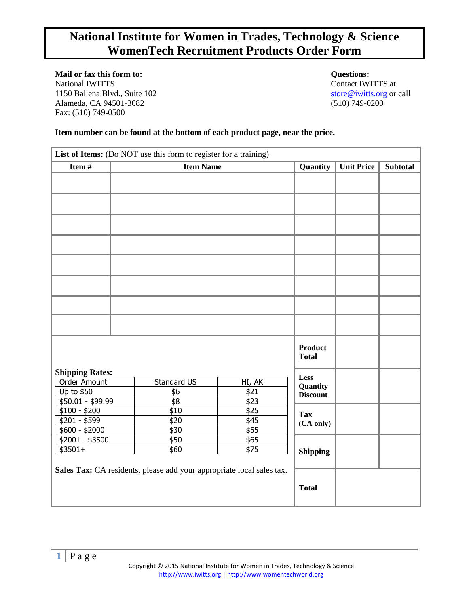# **National Institute for Women in Trades, Technology & Science WomenTech Recruitment Products Order Form**

**Mail or fax this form to: Questions:** National IWITTS at Contact IWITTS at 1150 Ballena Blvd., Suite 102 [store@iwitts.org](mailto:store@iwitts.org) or call Alameda, CA 94501-3682 (510) 749-0200 Fax: (510) 749-0500

## **Item number can be found at the bottom of each product page, near the price.**

| List of Items: (Do NOT use this form to register for a training) |                                                                       |              |                             |                   |                 |
|------------------------------------------------------------------|-----------------------------------------------------------------------|--------------|-----------------------------|-------------------|-----------------|
| Item #                                                           | <b>Item Name</b>                                                      |              |                             | <b>Unit Price</b> | <b>Subtotal</b> |
|                                                                  |                                                                       |              |                             |                   |                 |
|                                                                  |                                                                       |              |                             |                   |                 |
|                                                                  |                                                                       |              |                             |                   |                 |
|                                                                  |                                                                       |              |                             |                   |                 |
|                                                                  |                                                                       |              |                             |                   |                 |
|                                                                  |                                                                       |              |                             |                   |                 |
|                                                                  |                                                                       |              |                             |                   |                 |
|                                                                  |                                                                       |              |                             |                   |                 |
|                                                                  |                                                                       |              | Product<br><b>Total</b>     |                   |                 |
| <b>Shipping Rates:</b><br>Order Amount                           | Standard US                                                           | HI, AK       | <b>Less</b>                 |                   |                 |
| Up to \$50                                                       | \$6                                                                   | \$21         | Quantity<br><b>Discount</b> |                   |                 |
| \$50.01 - \$99.99                                                | $\overline{$8}$                                                       | \$23         |                             |                   |                 |
| $$100 - $200$                                                    | \$10                                                                  | \$25         | <b>Tax</b>                  |                   |                 |
| $$201 - $599$                                                    | \$20                                                                  | \$45         | (CA only)                   |                   |                 |
| $$600 - $2000$<br>$\frac{1}{2001}$ - \$3500                      | \$30<br>\$50                                                          | \$55<br>\$65 |                             |                   |                 |
| $$3501+$                                                         | \$60                                                                  | \$75         |                             |                   |                 |
|                                                                  |                                                                       |              | <b>Shipping</b>             |                   |                 |
|                                                                  | Sales Tax: CA residents, please add your appropriate local sales tax. |              | <b>Total</b>                |                   |                 |